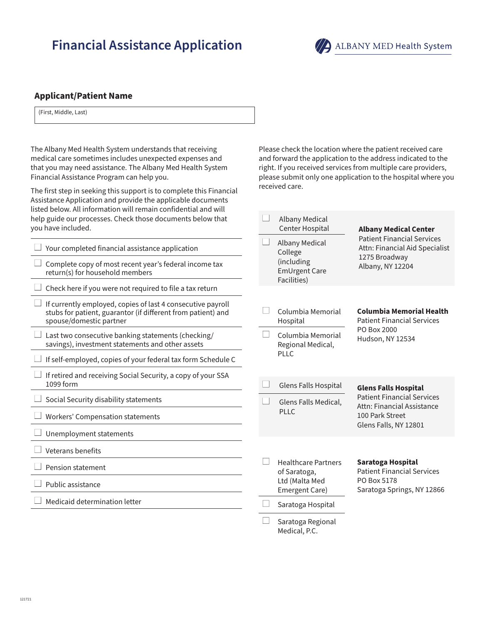# **Financial Assistance Application**



Please check the location where the patient received care and forward the application to the address indicated to the right. If you received services from multiple care providers, please submit only one application to the hospital where you

Center Hospital **Albany Medical Center**

received care.

Albany Medical

## **Applicant/Patient Name**

(First, Middle, Last)

The Albany Med Health System understands that receiving medical care sometimes includes unexpected expenses and that you may need assistance. The Albany Med Health System Financial Assistance Program can help you.

The first step in seeking this support is to complete this Financial Assistance Application and provide the applicable documents listed below. All information will remain confidential and will help guide our processes. Check those documents below that you have included.

| Your completed financial assistance application<br>Complete copy of most recent year's federal income tax<br>return(s) for household members           |                                                                 | <b>Albany Medical</b><br>College<br>(including<br><b>EmUrgent Care</b><br>Facilities) | <b>Patient Financial Services</b><br>Attn: Financial Aid Specialist<br>1275 Broadway<br>Albany, NY 12204 |  |
|--------------------------------------------------------------------------------------------------------------------------------------------------------|-----------------------------------------------------------------|---------------------------------------------------------------------------------------|----------------------------------------------------------------------------------------------------------|--|
| Check here if you were not required to file a tax return                                                                                               |                                                                 |                                                                                       |                                                                                                          |  |
| If currently employed, copies of last 4 consecutive payroll<br>stubs for patient, guarantor (if different from patient) and<br>spouse/domestic partner |                                                                 | Columbia Memorial<br>Hospital                                                         | <b>Columbia Memorial Health</b><br><b>Patient Financial Services</b>                                     |  |
| Last two consecutive banking statements (checking/<br>savings), investment statements and other assets                                                 | PO Box 2000<br>Columbia Memorial<br>$\Box$<br>Regional Medical, |                                                                                       | Hudson, NY 12534                                                                                         |  |
| If self-employed, copies of your federal tax form Schedule C                                                                                           |                                                                 | <b>PLLC</b>                                                                           |                                                                                                          |  |
| If retired and receiving Social Security, a copy of your SSA<br>1099 form                                                                              |                                                                 | Glens Falls Hospital                                                                  | <b>Glens Falls Hospital</b>                                                                              |  |
| Social Security disability statements                                                                                                                  |                                                                 | Glens Falls Medical,                                                                  | <b>Patient Financial Services</b><br>Attn: Financial Assistance                                          |  |
| <b>Workers' Compensation statements</b>                                                                                                                | <b>PLLC</b>                                                     |                                                                                       | 100 Park Street<br>Glens Falls, NY 12801                                                                 |  |
| Unemployment statements                                                                                                                                |                                                                 |                                                                                       |                                                                                                          |  |
| Veterans benefits                                                                                                                                      |                                                                 |                                                                                       |                                                                                                          |  |
| Pension statement                                                                                                                                      |                                                                 | <b>Healthcare Partners</b><br>of Saratoga,                                            | <b>Saratoga Hospital</b><br><b>Patient Financial Services</b>                                            |  |
| Public assistance                                                                                                                                      | Ltd (Malta Med<br>Emergent Care)                                |                                                                                       | PO Box 5178<br>Saratoga Springs, NY 12866                                                                |  |
| Medicaid determination letter                                                                                                                          |                                                                 | Saratoga Hospital                                                                     |                                                                                                          |  |
|                                                                                                                                                        |                                                                 | Saratoga Regional<br>Medical, P.C.                                                    |                                                                                                          |  |